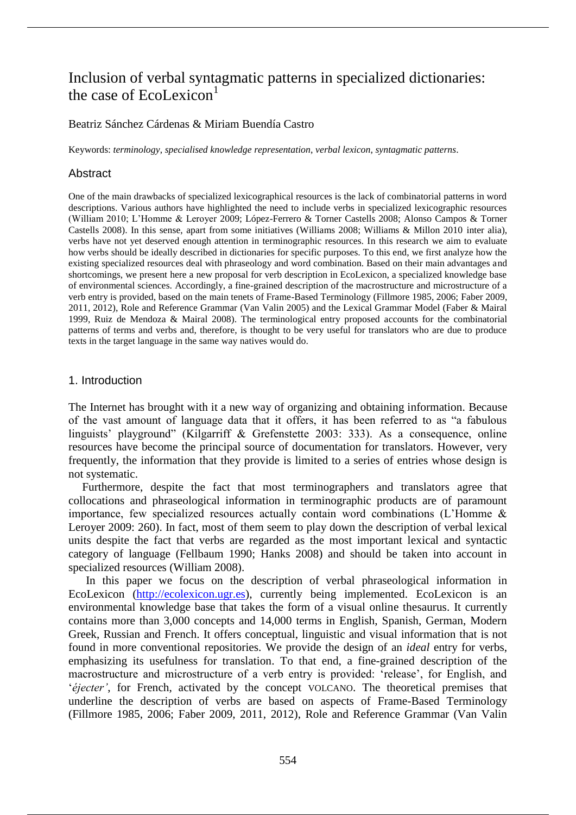# Inclusion of verbal syntagmatic patterns in specialized dictionaries: the case of  $Ecolexicon<sup>1</sup>$

# Beatriz Sánchez Cárdenas & Miriam Buendía Castro

Keywords: *terminology*, *specialised knowledge representation*, *verbal lexicon*, *syntagmatic patterns*.

# Abstract

One of the main drawbacks of specialized lexicographical resources is the lack of combinatorial patterns in word descriptions. Various authors have highlighted the need to include verbs in specialized lexicographic resources (William 2010; L'Homme & Leroyer 2009; López-Ferrero & Torner Castells 2008; Alonso Campos & Torner Castells 2008). In this sense, apart from some initiatives (Williams 2008; Williams & Millon 2010 inter alia), verbs have not yet deserved enough attention in terminographic resources. In this research we aim to evaluate how verbs should be ideally described in dictionaries for specific purposes. To this end, we first analyze how the existing specialized resources deal with phraseology and word combination. Based on their main advantages and shortcomings, we present here a new proposal for verb description in EcoLexicon, a specialized knowledge base of environmental sciences. Accordingly, a fine-grained description of the macrostructure and microstructure of a verb entry is provided, based on the main tenets of Frame-Based Terminology (Fillmore 1985, 2006; Faber 2009, 2011, 2012), Role and Reference Grammar (Van Valin 2005) and the Lexical Grammar Model (Faber & Mairal 1999, Ruiz de Mendoza & Mairal 2008). The terminological entry proposed accounts for the combinatorial patterns of terms and verbs and, therefore, is thought to be very useful for translators who are due to produce texts in the target language in the same way natives would do.

## 1. Introduction

The Internet has brought with it a new way of organizing and obtaining information. Because of the vast amount of language data that it offers, it has been referred to as "a fabulous linguists' playground" (Kilgarriff & Grefenstette 2003: 333). As a consequence, online resources have become the principal source of documentation for translators. However, very frequently, the information that they provide is limited to a series of entries whose design is not systematic.

Furthermore, despite the fact that most terminographers and translators agree that collocations and phraseological information in terminographic products are of paramount importance, few specialized resources actually contain word combinations (L'Homme & Leroyer 2009: 260). In fact, most of them seem to play down the description of verbal lexical units despite the fact that verbs are regarded as the most important lexical and syntactic category of language (Fellbaum 1990; Hanks 2008) and should be taken into account in specialized resources (William 2008).

In this paper we focus on the description of verbal phraseological information in EcoLexicon (http://ecolexicon.ugr.es), currently being implemented. EcoLexicon is an environmental knowledge base that takes the form of a visual online thesaurus. It currently contains more than 3,000 concepts and 14,000 terms in English, Spanish, German, Modern Greek, Russian and French. It offers conceptual, linguistic and visual information that is not found in more conventional repositories. We provide the design of an *ideal* entry for verbs, emphasizing its usefulness for translation. To that end, a fine-grained description of the macrostructure and microstructure of a verb entry is provided: 'release', for English, and '*éjecter'*, for French, activated by the concept VOLCANO. The theoretical premises that underline the description of verbs are based on aspects of Frame-Based Terminology (Fillmore 1985, 2006; Faber 2009, 2011, 2012), Role and Reference Grammar (Van Valin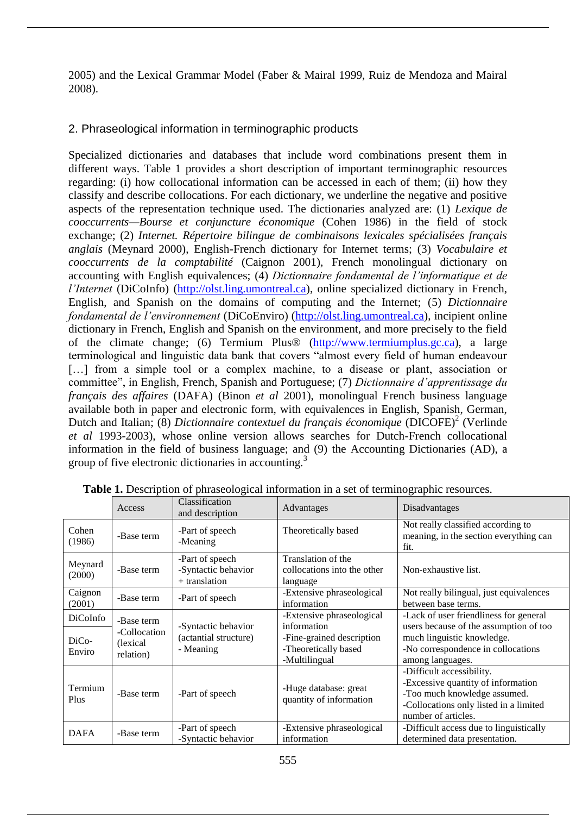2005) and the Lexical Grammar Model (Faber & Mairal 1999, Ruiz de Mendoza and Mairal 2008).

# 2. Phraseological information in terminographic products

Specialized dictionaries and databases that include word combinations present them in different ways. Table 1 provides a short description of important terminographic resources regarding: (i) how collocational information can be accessed in each of them; (ii) how they classify and describe collocations. For each dictionary, we underline the negative and positive aspects of the representation technique used. The dictionaries analyzed are: (1) *Lexique de cooccurrents—Bourse et conjuncture économique* (Cohen 1986) in the field of stock exchange; (2) *Internet. Répertoire bilingue de combinaisons lexicales spécialisées français anglais* (Meynard 2000), English-French dictionary for Internet terms; (3) *Vocabulaire et cooccurrents de la comptabilité* (Caignon 2001), French monolingual dictionary on accounting with English equivalences; (4) *Dictionnaire fondamental de l'informatique et de l'Internet* (DiCoInfo) (http://olst.ling.umontreal.ca), online specialized dictionary in French, English, and Spanish on the domains of computing and the Internet; (5) *Dictionnaire fondamental de l'environnement* (DiCoEnviro) (http://olst.ling.umontreal.ca), incipient online dictionary in French, English and Spanish on the environment, and more precisely to the field of the climate change; (6) Termium Plus® (http://www.termiumplus.gc.ca), a large terminological and linguistic data bank that covers "almost every field of human endeavour [...] from a simple tool or a complex machine, to a disease or plant, association or committee", in English, French, Spanish and Portuguese; (7) *Dictionnaire d'apprentissage du français des affaires* (DAFA) (Binon *et al* 2001), monolingual French business language available both in paper and electronic form, with equivalences in English, Spanish, German, Dutch and Italian; (8) *Dictionnaire contextuel du français économique* (DICOFE)<sup>2</sup> (Verlinde *et al* 1993-2003), whose online version allows searches for Dutch-French collocational information in the field of business language; and (9) the Accounting Dictionaries (AD), a group of five electronic dictionaries in accounting.<sup>3</sup>

|                   | Access                                 | Classification<br>and description                         | Advantages                                                                        | Disadvantages                                                                                                                                                    |
|-------------------|----------------------------------------|-----------------------------------------------------------|-----------------------------------------------------------------------------------|------------------------------------------------------------------------------------------------------------------------------------------------------------------|
| Cohen<br>(1986)   | -Base term                             | -Part of speech<br>-Meaning                               | Theoretically based                                                               | Not really classified according to<br>meaning, in the section everything can<br>fit.                                                                             |
| Meynard<br>(2000) | -Base term                             | -Part of speech<br>-Syntactic behavior<br>+ translation   | Translation of the<br>collocations into the other<br>language                     | Non-exhaustive list.                                                                                                                                             |
| Caignon<br>(2001) | -Base term                             | -Part of speech                                           | -Extensive phraseological<br>information                                          | Not really bilingual, just equivalences<br>between base terms.                                                                                                   |
| DiCoInfo          | -Base term                             | -Syntactic behavior<br>(actantial structure)<br>- Meaning | -Extensive phraseological                                                         | -Lack of user friendliness for general                                                                                                                           |
| DiCo-<br>Enviro   | -Collocation<br>(lexical)<br>relation) |                                                           | information<br>-Fine-grained description<br>-Theoretically based<br>-Multilingual | users because of the assumption of too<br>much linguistic knowledge.<br>-No correspondence in collocations<br>among languages.                                   |
| Termium<br>Plus   | -Base term                             | -Part of speech                                           | -Huge database: great<br>quantity of information                                  | -Difficult accessibility.<br>-Excessive quantity of information<br>-Too much knowledge assumed.<br>-Collocations only listed in a limited<br>number of articles. |
| <b>DAFA</b>       | -Base term                             | -Part of speech<br>-Syntactic behavior                    | -Extensive phraseological<br>information                                          | -Difficult access due to linguistically<br>determined data presentation.                                                                                         |

**Table 1.** Description of phraseological information in a set of terminographic resources.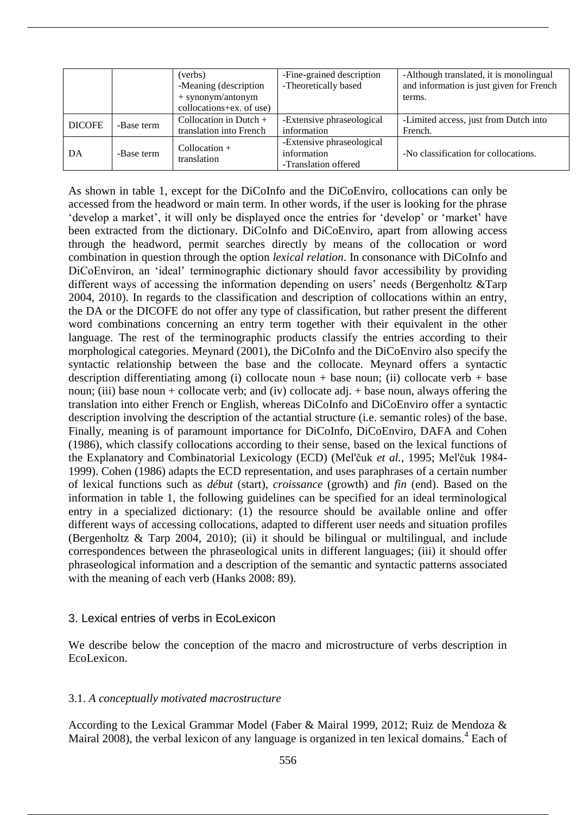|               |            | (verbs)                        | -Fine-grained description | -Although translated, it is monolingual  |
|---------------|------------|--------------------------------|---------------------------|------------------------------------------|
|               |            | -Meaning (description          | -Theoretically based      | and information is just given for French |
|               |            | $+$ synonym/antonym            |                           | terms.                                   |
|               |            | collocations+ex. of use)       |                           |                                          |
| <b>DICOFE</b> | -Base term | Collocation in Dutch $+$       | -Extensive phraseological | -Limited access, just from Dutch into    |
|               |            | translation into French        | information               | French.                                  |
| DA            | -Base term | $Collocation +$<br>translation | -Extensive phraseological |                                          |
|               |            |                                | information               | -No classification for collocations.     |
|               |            |                                | -Translation offered      |                                          |

As shown in table 1, except for the DiCoInfo and the DiCoEnviro, collocations can only be accessed from the headword or main term. In other words, if the user is looking for the phrase 'develop a market', it will only be displayed once the entries for 'develop' or 'market' have been extracted from the dictionary. DiCoInfo and DiCoEnviro, apart from allowing access through the headword, permit searches directly by means of the collocation or word combination in question through the option *lexical relation*. In consonance with DiCoInfo and DiCoEnviron, an 'ideal' terminographic dictionary should favor accessibility by providing different ways of accessing the information depending on users' needs (Bergenholtz &Tarp) 2004, 2010). In regards to the classification and description of collocations within an entry, the DA or the DICOFE do not offer any type of classification, but rather present the different word combinations concerning an entry term together with their equivalent in the other language. The rest of the terminographic products classify the entries according to their morphological categories. Meynard (2001), the DiCoInfo and the DiCoEnviro also specify the syntactic relationship between the base and the collocate. Meynard offers a syntactic description differentiating among (i) collocate noun + base noun; (ii) collocate verb + base noun; (iii) base noun + collocate verb; and (iv) collocate adj. + base noun, always offering the translation into either French or English, whereas DiCoInfo and DiCoEnviro offer a syntactic description involving the description of the actantial structure (i.e. semantic roles) of the base. Finally, meaning is of paramount importance for DiCoInfo, DiCoEnviro, DAFA and Cohen (1986), which classify collocations according to their sense, based on the lexical functions of the Explanatory and Combinatorial Lexicology (ECD) (Mel'čuk *et al.*, 1995; Mel'čuk 1984- 1999). Cohen (1986) adapts the ECD representation, and uses paraphrases of a certain number of lexical functions such as *début* (start), *croissance* (growth) and *fin* (end). Based on the information in table 1, the following guidelines can be specified for an ideal terminological entry in a specialized dictionary: (1) the resource should be available online and offer different ways of accessing collocations, adapted to different user needs and situation profiles (Bergenholtz & Tarp 2004, 2010); (ii) it should be bilingual or multilingual, and include correspondences between the phraseological units in different languages; (iii) it should offer phraseological information and a description of the semantic and syntactic patterns associated with the meaning of each verb (Hanks 2008: 89).

## 3. Lexical entries of verbs in EcoLexicon

We describe below the conception of the macro and microstructure of verbs description in EcoLexicon.

# 3.1. *A conceptually motivated macrostructure*

According to the Lexical Grammar Model (Faber & Mairal 1999, 2012; Ruiz de Mendoza & Mairal 2008), the verbal lexicon of any language is organized in ten lexical domains.<sup>4</sup> Each of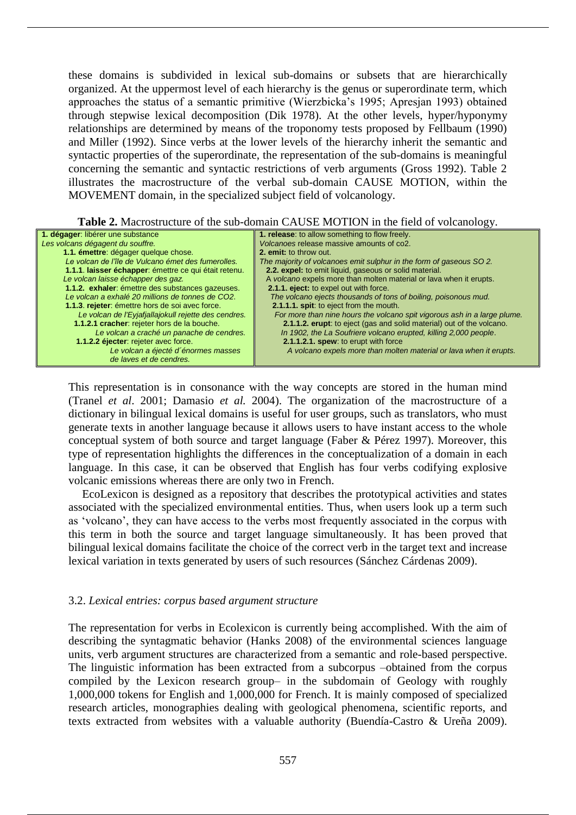these domains is subdivided in lexical sub-domains or subsets that are hierarchically organized. At the uppermost level of each hierarchy is the genus or superordinate term, which approaches the status of a semantic primitive (Wierzbicka's 1995; Apresjan 1993) obtained through stepwise lexical decomposition (Dik 1978). At the other levels, hyper/hyponymy relationships are determined by means of the troponomy tests proposed by Fellbaum (1990) and Miller (1992). Since verbs at the lower levels of the hierarchy inherit the semantic and syntactic properties of the superordinate, the representation of the sub-domains is meaningful concerning the semantic and syntactic restrictions of verb arguments (Gross 1992). Table 2 illustrates the macrostructure of the verbal sub-domain CAUSE MOTION, within the MOVEMENT domain, in the specialized subject field of volcanology.

**Table 2.** Macrostructure of the sub-domain CAUSE MOTION in the field of volcanology.

| 1. dégager: libérer une substance                     | 1. release: to allow something to flow freely.                           |
|-------------------------------------------------------|--------------------------------------------------------------------------|
| Les volcans dégagent du souffre.                      | Volcanoes release massive amounts of co2.                                |
| 1.1. émettre: dégager quelque chose.                  | 2. emit: to throw out.                                                   |
| Le volcan de l'île de Vulcano émet des fumerolles.    | The majority of volcanoes emit sulphur in the form of gaseous SO 2.      |
| 1.1.1. laisser échapper: émettre ce qui était retenu. | 2.2. expel: to emit liquid, gaseous or solid material.                   |
| Le volcan laisse échapper des gaz.                    | A volcano expels more than molten material or lava when it erupts.       |
| 1.1.2. exhaler: émettre des substances gazeuses.      | 2.1.1. eject: to expel out with force.                                   |
| Le volcan a exhalé 20 millions de tonnes de CO2.      | The volcano ejects thousands of tons of boiling, poisonous mud.          |
| 1.1.3. rejeter: émettre hors de soi avec force.       | 2.1.1.1. spit: to eject from the mouth.                                  |
| Le volcan de l'Eyjafjallajokull rejette des cendres.  | For more than nine hours the volcano spit vigorous ash in a large plume. |
| 1.1.2.1 cracher: rejeter hors de la bouche.           | 2.1.1.2. erupt: to eject (gas and solid material) out of the volcano.    |
| Le volcan a craché un panache de cendres.             | In 1902, the La Soufriere volcano erupted, killing 2,000 people.         |
| 1.1.2.2 éjecter: rejeter avec force.                  | 2.1.1.2.1. spew: to erupt with force                                     |
| Le volcan a éjecté d'énormes masses                   | A volcano expels more than molten material or lava when it erupts.       |
| de laves et de cendres.                               |                                                                          |

This representation is in consonance with the way concepts are stored in the human mind (Tranel *et al*. 2001; Damasio *et al.* 2004). The organization of the macrostructure of a dictionary in bilingual lexical domains is useful for user groups, such as translators, who must generate texts in another language because it allows users to have instant access to the whole conceptual system of both source and target language (Faber & Pérez 1997). Moreover, this type of representation highlights the differences in the conceptualization of a domain in each language. In this case, it can be observed that English has four verbs codifying explosive volcanic emissions whereas there are only two in French.

EcoLexicon is designed as a repository that describes the prototypical activities and states associated with the specialized environmental entities. Thus, when users look up a term such as 'volcano', they can have access to the verbs most frequently associated in the corpus with this term in both the source and target language simultaneously. It has been proved that bilingual lexical domains facilitate the choice of the correct verb in the target text and increase lexical variation in texts generated by users of such resources (Sánchez Cárdenas 2009).

# 3.2. *Lexical entries: corpus based argument structure*

The representation for verbs in Ecolexicon is currently being accomplished. With the aim of describing the syntagmatic behavior (Hanks 2008) of the environmental sciences language units, verb argument structures are characterized from a semantic and role-based perspective. The linguistic information has been extracted from a subcorpus –obtained from the corpus compiled by the Lexicon research group– in the subdomain of Geology with roughly 1,000,000 tokens for English and 1,000,000 for French. It is mainly composed of specialized research articles, monographies dealing with geological phenomena, scientific reports, and texts extracted from websites with a valuable authority (Buendía-Castro & Ureña 2009).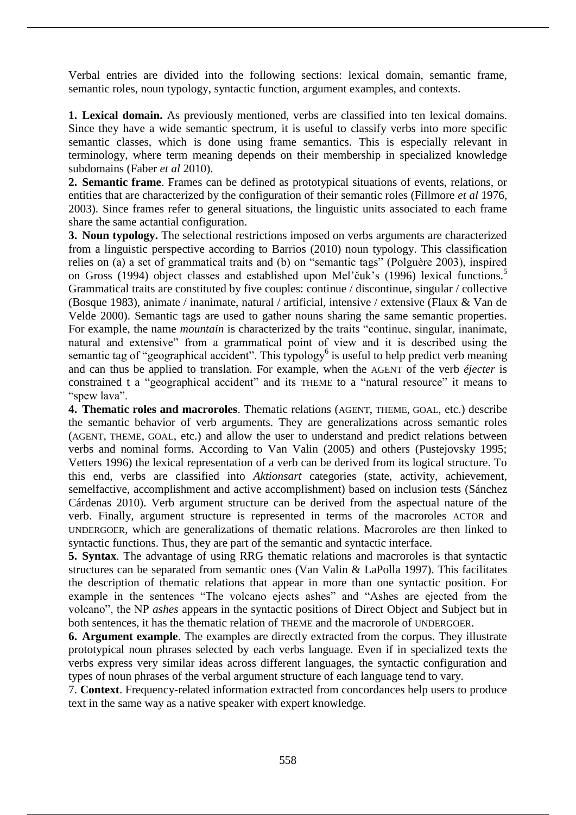Verbal entries are divided into the following sections: lexical domain, semantic frame, semantic roles, noun typology, syntactic function, argument examples, and contexts.

**1. Lexical domain.** As previously mentioned, verbs are classified into ten lexical domains. Since they have a wide semantic spectrum, it is useful to classify verbs into more specific semantic classes, which is done using frame semantics. This is especially relevant in terminology, where term meaning depends on their membership in specialized knowledge subdomains (Faber *et al* 2010).

**2. Semantic frame**. Frames can be defined as prototypical situations of events, relations, or entities that are characterized by the configuration of their semantic roles (Fillmore *et al* 1976, 2003). Since frames refer to general situations, the linguistic units associated to each frame share the same actantial configuration.

**3. Noun typology.** The selectional restrictions imposed on verbs arguments are characterized from a linguistic perspective according to Barrios (2010) noun typology. This classification relies on (a) a set of grammatical traits and (b) on "semantic tags" (Polguère 2003), inspired on Gross (1994) object classes and established upon Mel'čuk's (1996) lexical functions.<sup>5</sup> Grammatical traits are constituted by five couples: continue / discontinue, singular / collective (Bosque 1983), animate / inanimate, natural / artificial, intensive / extensive (Flaux & Van de Velde 2000). Semantic tags are used to gather nouns sharing the same semantic properties. For example, the name *mountain* is characterized by the traits "continue, singular, inanimate, natural and extensive" from a grammatical point of view and it is described using the semantic tag of "geographical accident". This typology<sup>6</sup> is useful to help predict verb meaning and can thus be applied to translation. For example, when the AGENT of the verb *éjecter* is constrained t a "geographical accident" and its THEME to a "natural resource" it means to "spew lava".

**4. Thematic roles and macroroles**. Thematic relations (AGENT, THEME, GOAL, etc.) describe the semantic behavior of verb arguments. They are generalizations across semantic roles (AGENT, THEME, GOAL, etc.) and allow the user to understand and predict relations between verbs and nominal forms. According to Van Valin (2005) and others (Pustejovsky 1995; Vetters 1996) the lexical representation of a verb can be derived from its logical structure. To this end, verbs are classified into *Aktionsart* categories (state, activity, achievement, semelfactive, accomplishment and active accomplishment) based on inclusion tests (Sánchez Cárdenas 2010). Verb argument structure can be derived from the aspectual nature of the verb. Finally, argument structure is represented in terms of the macroroles ACTOR and UNDERGOER, which are generalizations of thematic relations. Macroroles are then linked to syntactic functions. Thus, they are part of the semantic and syntactic interface.

**5. Syntax**. The advantage of using RRG thematic relations and macroroles is that syntactic structures can be separated from semantic ones (Van Valin & LaPolla 1997). This facilitates the description of thematic relations that appear in more than one syntactic position. For example in the sentences "The volcano ejects ashes" and "Ashes are ejected from the volcano", the NP *ashes* appears in the syntactic positions of Direct Object and Subject but in both sentences, it has the thematic relation of THEME and the macrorole of UNDERGOER.

**6. Argument example**. The examples are directly extracted from the corpus. They illustrate prototypical noun phrases selected by each verbs language. Even if in specialized texts the verbs express very similar ideas across different languages, the syntactic configuration and types of noun phrases of the verbal argument structure of each language tend to vary.

7. **Context**. Frequency-related information extracted from concordances help users to produce text in the same way as a native speaker with expert knowledge.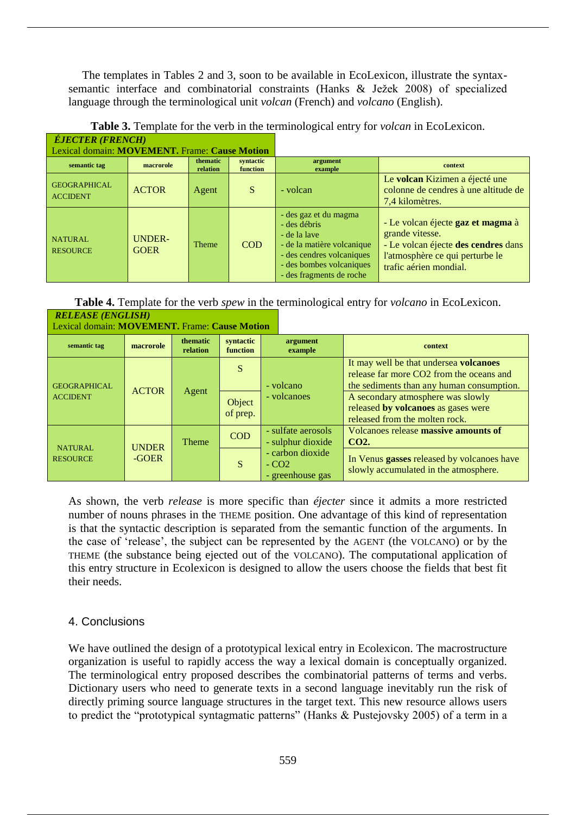The templates in Tables 2 and 3, soon to be available in EcoLexicon, illustrate the syntaxsemantic interface and combinatorial constraints (Hanks & Ježek 2008) of specialized language through the terminological unit *volcan* (French) and *volcano* (English).

| <i>LJEVIER (FREIVEIL)</i>                     |                              |                      |                       |                                                                                                                                                                          |                                                                                                                                                          |
|-----------------------------------------------|------------------------------|----------------------|-----------------------|--------------------------------------------------------------------------------------------------------------------------------------------------------------------------|----------------------------------------------------------------------------------------------------------------------------------------------------------|
| Lexical domain: MOVEMENT. Frame: Cause Motion |                              |                      |                       |                                                                                                                                                                          |                                                                                                                                                          |
| semantic tag                                  | macrorole                    | thematic<br>relation | syntactic<br>function | argument<br>example                                                                                                                                                      | context                                                                                                                                                  |
| <b>GEOGRAPHICAL</b><br><b>ACCIDENT</b>        | <b>ACTOR</b>                 | Agent                | <sub>S</sub>          | - volcan                                                                                                                                                                 | Le volcan Kizimen a éjecté une<br>colonne de cendres à une altitude de<br>7,4 kilomètres.                                                                |
| <b>NATURAL</b><br><b>RESOURCE</b>             | <b>UNDER-</b><br><b>GOER</b> | <b>Theme</b>         | <b>COD</b>            | - des gaz et du magma<br>- des débris<br>- de la lave<br>- de la matière volcanique<br>- des cendres volcaniques<br>- des bombes volcaniques<br>- des fragments de roche | - Le volcan éjecte gaz et magma à<br>grande vitesse.<br>- Le volcan éjecte des cendres dans<br>l'atmosphère ce qui perturbe le<br>trafic aérien mondial. |

| <b>Table 3.</b> Template for the verb in the terminological entry for <i>volcan</i> in EcoLexicon. |  |
|----------------------------------------------------------------------------------------------------|--|
| É IECTED (EDEMOII)                                                                                 |  |

**Table 4.** Template for the verb *spew* in the terminological entry for *volcano* in EcoLexicon. *RELEASE (ENGLISH)*

| Lexical domain: MOVEMENT. Frame: Cause Motion |                       |                      |                       |                                                |                                                                                                                                 |
|-----------------------------------------------|-----------------------|----------------------|-----------------------|------------------------------------------------|---------------------------------------------------------------------------------------------------------------------------------|
| semantic tag                                  | macrorole             | thematic<br>relation | syntactic<br>function | argument<br>example                            | context                                                                                                                         |
| <b>GEOGRAPHICAL</b>                           | <b>ACTOR</b>          | Agent                | S                     | - volcano                                      | It may well be that undersea volcanoes<br>release far more CO2 from the oceans and<br>the sediments than any human consumption. |
| <b>ACCIDENT</b>                               |                       |                      | Object<br>of prep.    | - volcanoes                                    | A secondary atmosphere was slowly<br>released by volcanoes as gases were<br>released from the molten rock.                      |
| <b>NATURAL</b><br><b>RESOURCE</b>             | <b>UNDER</b><br>-GOER | <b>Theme</b>         | <b>COD</b>            | - sulfate aerosols<br>- sulphur dioxide        | Volcanoes release massive amounts of<br>CO <sub>2</sub> .                                                                       |
|                                               |                       |                      | S                     | - carbon dioxide<br>$-CO2$<br>- greenhouse gas | In Venus gasses released by volcanoes have<br>slowly accumulated in the atmosphere.                                             |

As shown, the verb *release* is more specific than *éjecter* since it admits a more restricted number of nouns phrases in the THEME position. One advantage of this kind of representation is that the syntactic description is separated from the semantic function of the arguments. In the case of 'release', the subject can be represented by the AGENT (the VOLCANO) or by the THEME (the substance being ejected out of the VOLCANO). The computational application of this entry structure in Ecolexicon is designed to allow the users choose the fields that best fit their needs.

# 4. Conclusions

We have outlined the design of a prototypical lexical entry in Ecolexicon. The macrostructure organization is useful to rapidly access the way a lexical domain is conceptually organized. The terminological entry proposed describes the combinatorial patterns of terms and verbs. Dictionary users who need to generate texts in a second language inevitably run the risk of directly priming source language structures in the target text. This new resource allows users to predict the "prototypical syntagmatic patterns" (Hanks & Pustejovsky 2005) of a term in a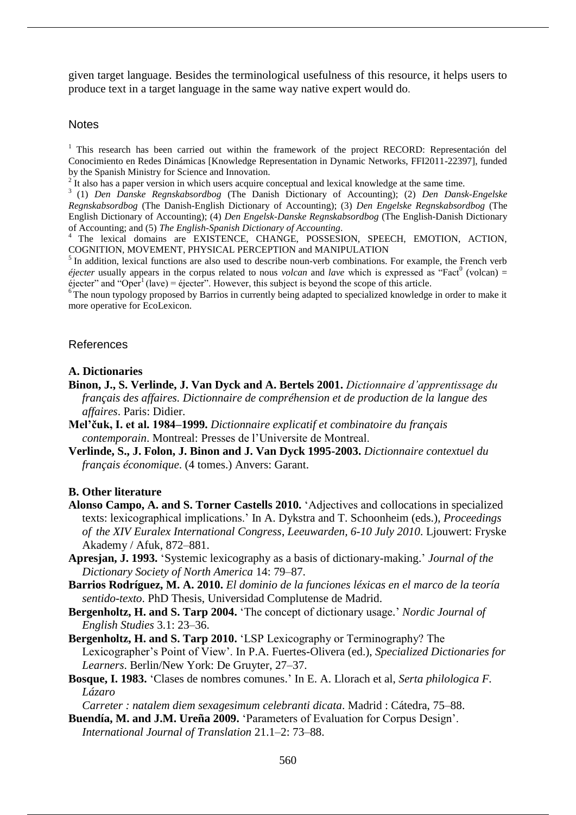given target language. Besides the terminological usefulness of this resource, it helps users to produce text in a target language in the same way native expert would do.

#### **Notes**

<sup>1</sup> This research has been carried out within the framework of the project RECORD: Representación del Conocimiento en Redes Dinámicas [Knowledge Representation in Dynamic Networks, FFI2011-22397], funded by the Spanish Ministry for Science and Innovation.

<sup>2</sup> It also has a paper version in which users acquire conceptual and lexical knowledge at the same time.

3 (1) *Den Danske Regnskabsordbog* (The Danish Dictionary of Accounting); (2) *Den Dansk-Engelske Regnskabsordbog* (The Danish-English Dictionary of Accounting); (3) *Den Engelske Regnskabsordbog* (The English Dictionary of Accounting); (4) *Den Engelsk-Danske Regnskabsordbog* (The English-Danish Dictionary of Accounting; and (5) *The English-Spanish Dictionary of Accounting*.

<sup>4</sup> The lexical domains are EXISTENCE, CHANGE, POSSESION, SPEECH, EMOTION, ACTION, COGNITION, MOVEMENT, PHYSICAL PERCEPTION and MANIPULATION

<sup>5</sup> In addition, lexical functions are also used to describe noun-verb combinations. For example, the French verb  $\acute{e}$ *jecter* usually appears in the corpus related to nous *volcan* and *lave* which is expressed as "Fact<sup>0</sup> (volcan) =  $\acute{\text{e}}$  ejecter" and "Oper<sup>1</sup> (lave) = éjecter". However, this subject is beyond the scope of this article.

<sup>6</sup> The noun typology proposed by Barrios in currently being adapted to specialized knowledge in order to make it more operative for EcoLexicon.

## References

## **A. Dictionaries**

- **Binon, J., S. Verlinde, J. Van Dyck and A. Bertels 2001.** *Dictionnaire d'apprentissage du français des affaires. Dictionnaire de compréhension et de production de la langue des affaires*. Paris: Didier.
- **Mel'čuk, I. et al. 1984–1999.** *Dictionnaire explicatif et combinatoire du français contemporain*. Montreal: Presses de l'Universite de Montreal.
- **Verlinde, S., J. Folon, J. Binon and J. Van Dyck 1995-2003.** *Dictionnaire contextuel du français économique*. (4 tomes.) Anvers: Garant.

## **B. Other literature**

- **Alonso Campo, A. and S. Torner Castells 2010.** 'Adjectives and collocations in specialized texts: lexicographical implications.' In A. Dykstra and T. Schoonheim (eds.), *Proceedings of the XIV Euralex International Congress*, *Leeuwarden, 6-10 July 2010*. Ljouwert: Fryske Akademy / Afuk, 872–881.
- **Apresjan, J. 1993.** 'Systemic lexicography as a basis of dictionary-making.' *Journal of the Dictionary Society of North America* 14: 79–87.
- **Barrios Rodríguez, M. A. 2010.** *El dominio de la funciones léxicas en el marco de la teoría sentido-texto*. PhD Thesis, Universidad Complutense de Madrid.
- **Bergenholtz, H. and S. Tarp 2004.** 'The concept of dictionary usage.' *Nordic Journal of English Studies* 3.1: 23–36.
- **Bergenholtz, H. and S. Tarp 2010.** 'LSP Lexicography or Terminography? The Lexicographer's Point of View'. In P.A. Fuertes-Olivera (ed.), *Specialized Dictionaries for Learners*. Berlin/New York: De Gruyter, 27–37.
- **Bosque, I. 1983.** 'Clases de nombres comunes.' In E. A. Llorach et al, *Serta philologica F. Lázaro*

*Carreter : natalem diem sexagesimum celebranti dicata*. Madrid : Cátedra, 75–88.

**Buendía, M. and J.M. Ureña 2009.** 'Parameters of Evaluation for Corpus Design'. *International Journal of Translation* 21.1–2: 73–88.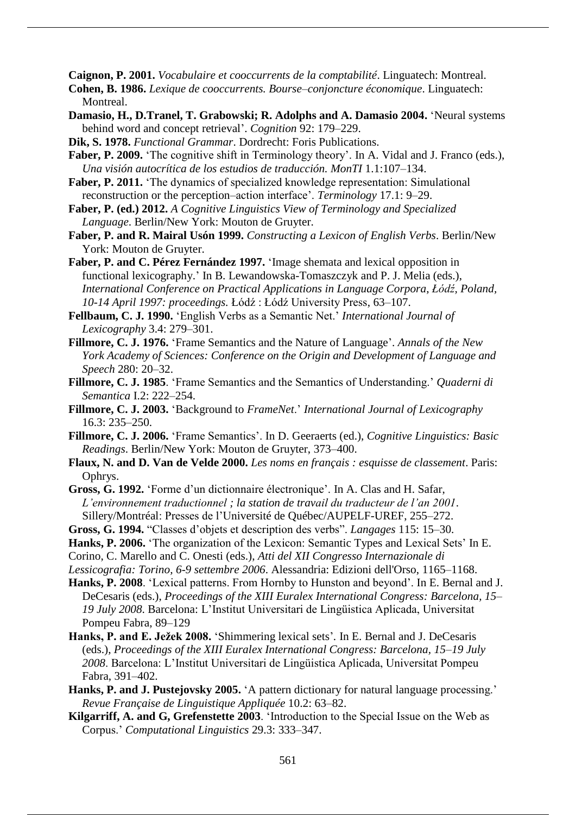**Caignon, P. 2001.** *Vocabulaire et cooccurrents de la comptabilité*. Linguatech: Montreal.

- **Cohen, B. 1986.** *Lexique de cooccurrents. Bourse–conjoncture économique*. Linguatech: Montreal.
- **Damasio, H., D.Tranel, T. Grabowski; R. Adolphs and A. Damasio 2004.** 'Neural systems behind word and concept retrieval'. *Cognition* 92: 179–229.
- **Dik, S. 1978.** *Functional Grammar*. Dordrecht: Foris Publications.
- Faber, P. 2009. 'The cognitive shift in Terminology theory'. In A. Vidal and J. Franco (eds.), *Una visión autocrítica de los estudios de traducción. MonTI* 1.1:107–134.
- **Faber, P. 2011.** 'The dynamics of specialized knowledge representation: Simulational reconstruction or the perception–action interface'. *Terminology* 17.1: 9–29.
- **Faber, P. (ed.) 2012.** *A Cognitive Linguistics View of Terminology and Specialized Language*. Berlin/New York: Mouton de Gruyter.
- **Faber, P. and R. Mairal Usón 1999.** *Constructing a Lexicon of English Verbs*. Berlin/New York: Mouton de Gruyter.

**Faber, P. and C. Pérez Fernández 1997.** 'Image shemata and lexical opposition in functional lexicography.' In B. Lewandowska-Tomaszczyk and P. J. Melia (eds.), *International Conference on Practical Applications in Language Corpora, Łódź, Poland,* 10-14 April 1997: proceedings. Łódź: Łódź University Press, 63–107.

- **Fellbaum, C. J. 1990.** 'English Verbs as a Semantic Net.' *International Journal of Lexicography* 3.4: 279–301.
- **Fillmore, C. J. 1976.** 'Frame Semantics and the Nature of Language'. *Annals of the New York Academy of Sciences: Conference on the Origin and Development of Language and Speech* 280: 20–32.
- **Fillmore, C. J. 1985**. 'Frame Semantics and the Semantics of Understanding.' *Quaderni di Semantica* I.2: 222–254.
- **Fillmore, C. J. 2003.** 'Background to *FrameNet*.' *International Journal of Lexicography* 16.3: 235–250.
- **Fillmore, C. J. 2006.** 'Frame Semantics'. In D. Geeraerts (ed.), *Cognitive Linguistics: Basic Readings*. Berlin/New York: Mouton de Gruyter, 373–400.
- **Flaux, N. and D. Van de Velde 2000.** *Les noms en français : esquisse de classement*. Paris: Ophrys.
- **Gross, G. 1992.** 'Forme d'un dictionnaire électronique'. In A. Clas and H. Safar, *L'environnement traductionnel ; la station de travail du traducteur de l'an 2001*. Sillery/Montréal: Presses de l'Université de Québec/AUPELF-UREF, 255–272.
- **Gross, G. 1994.** "Classes d'objets et description des verbs". *Langages* 115: 15–30.
- **Hanks, P. 2006.** 'The organization of the Lexicon: Semantic Types and Lexical Sets' In E.
- Corino, C. Marello and C. Onesti (eds.), *Atti del XII Congresso Internazionale di*

*Lessicografia: Torino, 6-9 settembre 2006*. Alessandria: Edizioni dell'Orso, 1165–1168.

- **Hanks, P. 2008**. 'Lexical patterns. From Hornby to Hunston and beyond'. In E. Bernal and J. DeCesaris (eds.), *Proceedings of the XIII Euralex International Congress: Barcelona, 15*– *19 July 2008*. Barcelona: L'Institut Universitari de Lingüistica Aplicada, Universitat Pompeu Fabra, 89–129
- **Hanks, P. and E. Ježek 2008.** 'Shimmering lexical sets'*.* In E. Bernal and J. DeCesaris (eds.), *Proceedings of the XIII Euralex International Congress: Barcelona, 15*–*19 July 2008*. Barcelona: L'Institut Universitari de Lingüistica Aplicada, Universitat Pompeu Fabra, 391–402.
- **Hanks, P. and J. Pustejovsky 2005.** 'A pattern dictionary for natural language processing.' *Revue Française de Linguistique Appliquée* 10.2: 63–82.
- **Kilgarriff, A. and G, Grefenstette 2003**. 'Introduction to the Special Issue on the Web as Corpus.' *Computational Linguistics* 29.3: 333–347.